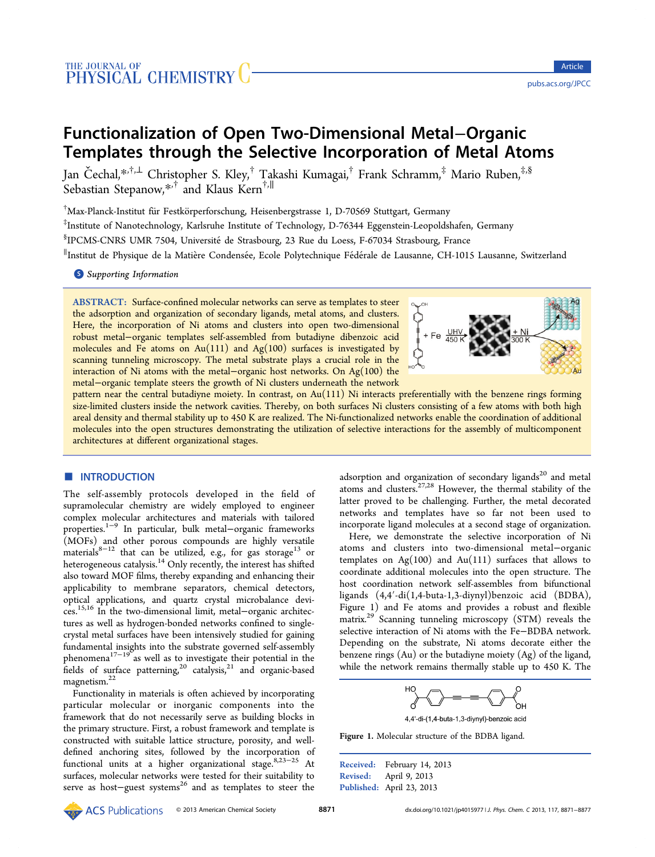# Functionalization of Open Two-Dimensional Metal−Organic Templates through the Selective Incorporation of Metal Atoms

Jan Čechal,[\\*](#page-5-0)<sup>,†,[⊥](#page-5-0)</sup> Christopher S. Kley,<sup>†</sup> Takashi Kumagai,<sup>†</sup> Frank Schramm,<sup>‡</sup> Mario Ruben,<sup>‡,§</sup> Sebastian Stepanow,[\\*](#page-5-0),† and Klaus Kern†,<sup>∥</sup>

 $^\dagger$ Max-Planck-Institut für Festkörperforschung, Heisenbergstrasse 1, D-70569 Stuttgart, Germany

‡ Institute of Nanotechnology, Karlsruhe Institute of Technology, D-76344 Eggenstein-Leopoldshafen, Germany

§ IPCMS-CNRS UMR 7504, Universitéde Strasbourg, 23 Rue du Loess, F-67034 Strasbourg, France

∥Institut de Physique de la Matière Condensée, Ecole Polytechnique Fédérale de Lausanne, CH-1015 Lausanne, Switzerland

**S** [Supporting Information](#page-5-0)

ABSTRACT: Surface-confined molecular networks can serve as templates to steer the adsorption and organization of secondary ligands, metal atoms, and clusters. Here, the incorporation of Ni atoms and clusters into open two-dimensional robust metal−organic templates self-assembled from butadiyne dibenzoic acid molecules and Fe atoms on Au $(111)$  and Ag $(100)$  surfaces is investigated by scanning tunneling microscopy. The metal substrate plays a crucial role in the interaction of Ni atoms with the metal−organic host networks. On Ag(100) the metal−organic template steers the growth of Ni clusters underneath the network



pattern near the central butadiyne moiety. In contrast, on Au(111) Ni interacts preferentially with the benzene rings forming size-limited clusters inside the network cavities. Thereby, on both surfaces Ni clusters consisting of a few atoms with both high areal density and thermal stability up to 450 K are realized. The Ni-functionalized networks enable the coordination of additional molecules into the open structures demonstrating the utilization of selective interactions for the assembly of multicomponent architectures at different organizational stages.

## **ENTRODUCTION**

The self-assembly protocols developed in the field of supramolecular chemistry are widely employed to engineer complex molecular architectures and materials with tailored properties.[1](#page-5-0)−[9](#page-5-0) In particular, bulk metal−organic frameworks (MOFs) and other porous compounds are highly versatile materials<sup>[8](#page-5-0)-[12](#page-5-0)</sup> that can be utilized, e.g., for gas storage<sup>[13](#page-5-0)</sup> or heterogeneous catalysis.<sup>[14](#page-5-0)</sup> Only recently, the interest has shifted also toward MOF films, thereby expanding and enhancing their applicability to membrane separators, chemical detectors, optical applications, and quartz crystal microbalance devices.[15](#page-5-0),[16](#page-5-0) In the two-dimensional limit, metal−organic architectures as well as hydrogen-bonded networks confined to singlecrystal metal surfaces have been intensively studied for gaining fundamental insights into the substrate governed self-assembly phenomena<sup>[17](#page-5-0)−[19](#page-5-0)</sup> as well as to investigate their potential in the fields of surface patterning, $^{20}$  $^{20}$  $^{20}$  catalysis, $^{21}$  $^{21}$  $^{21}$  and organic-based magnetism.<sup>[22](#page-5-0)</sup>

Functionality in materials is often achieved by incorporating particular molecular or inorganic components into the framework that do not necessarily serve as building blocks in the primary structure. First, a robust framework and template is constructed with suitable lattice structure, porosity, and welldefined anchoring sites, followed by the incorporation of functional units at a higher organizational stage.[8,23](#page-5-0)−[25](#page-5-0) At surfaces, molecular networks were tested for their suitability to serve as host-guest systems<sup>[26](#page-5-0)</sup> and as templates to steer the

adsorption and organization of secondary ligands<sup>[20](#page-5-0)</sup> and metal atoms and clusters.<sup>[27](#page-5-0),[28](#page-6-0)</sup> However, the thermal stability of the latter proved to be challenging. Further, the metal decorated networks and templates have so far not been used to incorporate ligand molecules at a second stage of organization.

Here, we demonstrate the selective incorporation of Ni atoms and clusters into two-dimensional metal−organic templates on  $Ag(100)$  and  $Au(111)$  surfaces that allows to coordinate additional molecules into the open structure. The host coordination network self-assembles from bifunctional ligands (4,4′-di(1,4-buta-1,3-diynyl)benzoic acid (BDBA), Figure 1) and Fe atoms and provides a robust and flexible matrix.[29](#page-6-0) Scanning tunneling microscopy (STM) reveals the selective interaction of Ni atoms with the Fe−BDBA network. Depending on the substrate, Ni atoms decorate either the benzene rings (Au) or the butadiyne moiety (Ag) of the ligand, while the network remains thermally stable up to 450 K. The



4,4'-di-(1,4-buta-1,3-diynyl)-benzoic acid

Figure 1. Molecular structure of the BDBA ligand.

Received: February 14, 2013 Revised: April 9, 2013 Published: April 23, 2013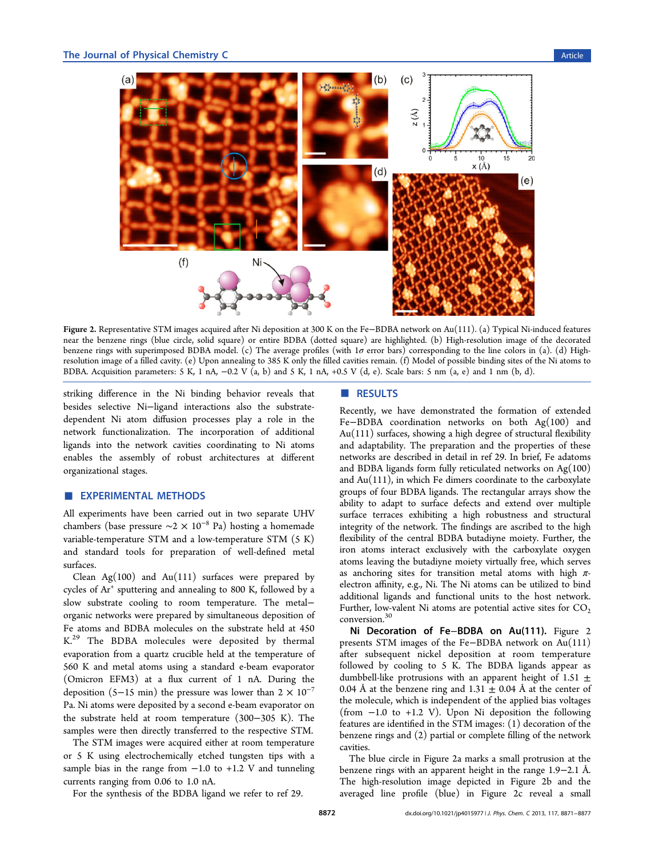<span id="page-1-0"></span>

Figure 2. Representative STM images acquired after Ni deposition at 300 K on the Fe−BDBA network on Au(111). (a) Typical Ni-induced features near the benzene rings (blue circle, solid square) or entire BDBA (dotted square) are highlighted. (b) High-resolution image of the decorated benzene rings with superimposed BDBA model. (c) The average profiles (with 1σ error bars) corresponding to the line colors in (a). (d) Highresolution image of a filled cavity. (e) Upon annealing to 385 K only the filled cavities remain. (f) Model of possible binding sites of the Ni atoms to BDBA. Acquisition parameters:  $5 \text{ K}$ ,  $1 \text{ nA}$ ,  $-0.2 \text{ V}$  (a, b) and  $5 \text{ K}$ ,  $1 \text{ nA}$ ,  $+0.5 \text{ V}$  (d, e). Scale bars:  $5 \text{ nm}$  (a, e) and  $1 \text{ nm}$  (b, d).

striking difference in the Ni binding behavior reveals that besides selective Ni−ligand interactions also the substratedependent Ni atom diffusion processes play a role in the network functionalization. The incorporation of additional ligands into the network cavities coordinating to Ni atoms enables the assembly of robust architectures at different organizational stages.

## **EXPERIMENTAL METHODS**

All experiments have been carried out in two separate UHV chambers (base pressure  $\sim$ 2 × 10<sup>-8</sup> Pa) hosting a homemade variable-temperature STM and a low-temperature STM (5 K) and standard tools for preparation of well-defined metal surfaces.

Clean  $Ag(100)$  and  $Au(111)$  surfaces were prepared by cycles of Ar<sup>+</sup> sputtering and annealing to 800 K, followed by a slow substrate cooling to room temperature. The metal− organic networks were prepared by simultaneous deposition of Fe atoms and BDBA molecules on the substrate held at 450 K.<sup>[29](#page-6-0)</sup> The BDBA molecules were deposited by thermal evaporation from a quartz crucible held at the temperature of 560 K and metal atoms using a standard e-beam evaporator (Omicron EFM3) at a flux current of 1 nA. During the deposition (5−15 min) the pressure was lower than  $2 \times 10^{-7}$ Pa. Ni atoms were deposited by a second e-beam evaporator on the substrate held at room temperature (300−305 K). The samples were then directly transferred to the respective STM.

The STM images were acquired either at room temperature or 5 K using electrochemically etched tungsten tips with a sample bias in the range from  $-1.0$  to  $+1.2$  V and tunneling currents ranging from 0.06 to 1.0 nA.

#### ■ RESULTS

Recently, we have demonstrated the formation of extended Fe−BDBA coordination networks on both Ag(100) and Au(111) surfaces, showing a high degree of structural flexibility and adaptability. The preparation and the properties of these networks are described in detail in ref [29](#page-6-0). In brief, Fe adatoms and BDBA ligands form fully reticulated networks on Ag(100) and Au(111), in which Fe dimers coordinate to the carboxylate groups of four BDBA ligands. The rectangular arrays show the ability to adapt to surface defects and extend over multiple surface terraces exhibiting a high robustness and structural integrity of the network. The findings are ascribed to the high flexibility of the central BDBA butadiyne moiety. Further, the iron atoms interact exclusively with the carboxylate oxygen atoms leaving the butadiyne moiety virtually free, which serves as anchoring sites for transition metal atoms with high  $\pi$ electron affinity, e.g., Ni. The Ni atoms can be utilized to bind additional ligands and functional units to the host network. Further, low-valent Ni atoms are potential active sites for  $CO<sub>2</sub>$ conversion.<sup>[30](#page-6-0)</sup>

Ni Decoration of Fe−BDBA on Au(111). Figure 2 presents STM images of the Fe−BDBA network on Au(111) after subsequent nickel deposition at room temperature followed by cooling to 5 K. The BDBA ligands appear as dumbbell-like protrusions with an apparent height of  $1.51 \pm$ 0.04 Å at the benzene ring and  $1.31 \pm 0.04$  Å at the center of the molecule, which is independent of the applied bias voltages (from −1.0 to +1.2 V). Upon Ni deposition the following features are identified in the STM images: (1) decoration of the benzene rings and (2) partial or complete filling of the network cavities.

The blue circle in Figure 2a marks a small protrusion at the benzene rings with an apparent height in the range 1.9−2.1 Å. The high-resolution image depicted in Figure 2b and the averaged line profile (blue) in Figure 2c reveal a small

For the synthesis of the BDBA ligand we refer to ref [29](#page-6-0).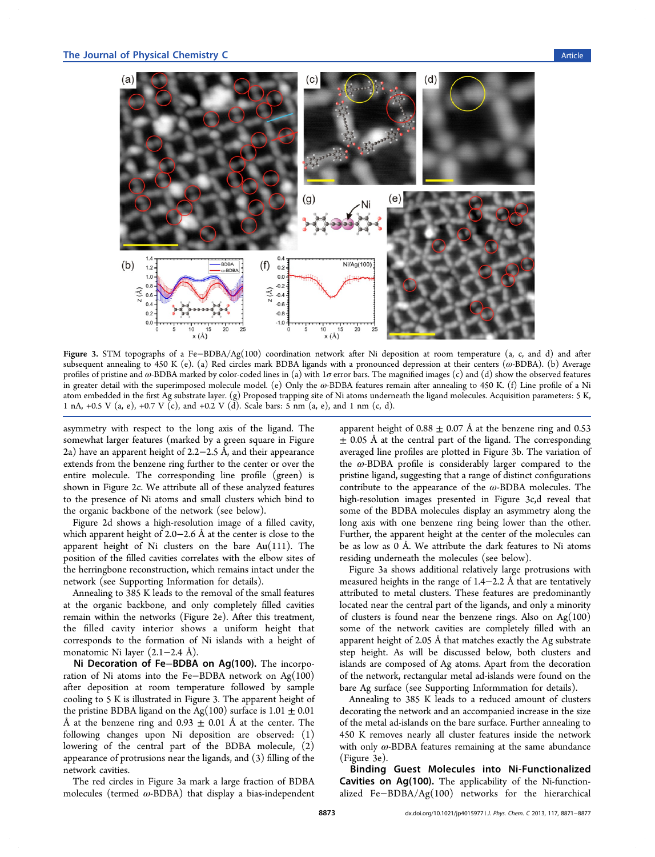<span id="page-2-0"></span>

Figure 3. STM topographs of a Fe−BDBA/Ag(100) coordination network after Ni deposition at room temperature (a, c, and d) and after subsequent annealing to 450 K (e). (a) Red circles mark BDBA ligands with a pronounced depression at their centers (ω-BDBA). (b) Average profiles of pristine and  $\omega$ -BDBA marked by color-coded lines in (a) with 1 $\sigma$  error bars. The magnified images (c) and (d) show the observed features in greater detail with the superimposed molecule model. (e) Only the ω-BDBA features remain after annealing to 450 K. (f) Line profile of a Ni atom embedded in the first Ag substrate layer. (g) Proposed trapping site of Ni atoms underneath the ligand molecules. Acquisition parameters: 5 K, 1 nA, +0.5 V (a, e), +0.7 V (c), and +0.2 V (d). Scale bars: 5 nm (a, e), and 1 nm (c, d).

asymmetry with respect to the long axis of the ligand. The somewhat larger features (marked by a green square in Figure [2](#page-1-0)a) have an apparent height of 2.2−2.5 Å, and their appearance extends from the benzene ring further to the center or over the entire molecule. The corresponding line profile (green) is shown in Figure [2c](#page-1-0). We attribute all of these analyzed features to the presence of Ni atoms and small clusters which bind to the organic backbone of the network (see below).

Figure [2d](#page-1-0) shows a high-resolution image of a filled cavity, which apparent height of 2.0−2.6 Å at the center is close to the apparent height of Ni clusters on the bare Au(111). The position of the filled cavities correlates with the elbow sites of the herringbone reconstruction, which remains intact under the network (see [Supporting Information](#page-5-0) for details).

Annealing to 385 K leads to the removal of the small features at the organic backbone, and only completely filled cavities remain within the networks (Figure [2](#page-1-0)e). After this treatment, the filled cavity interior shows a uniform height that corresponds to the formation of Ni islands with a height of monatomic Ni layer (2.1−2.4 Å).

Ni Decoration of Fe−BDBA on Ag(100). The incorporation of Ni atoms into the Fe–BDBA network on  $Ag(100)$ after deposition at room temperature followed by sample cooling to 5 K is illustrated in Figure 3. The apparent height of the pristine BDBA ligand on the Ag(100) surface is  $1.01 \pm 0.01$ Å at the benzene ring and  $0.93 \pm 0.01$  Å at the center. The following changes upon Ni deposition are observed: (1) lowering of the central part of the BDBA molecule, (2) appearance of protrusions near the ligands, and (3) filling of the network cavities.

The red circles in Figure 3a mark a large fraction of BDBA molecules (termed  $\omega$ -BDBA) that display a bias-independent apparent height of 0.88  $\pm$  0.07 Å at the benzene ring and 0.53  $\pm$  0.05 Å at the central part of the ligand. The corresponding averaged line profiles are plotted in Figure 3b. The variation of the  $\omega$ -BDBA profile is considerably larger compared to the pristine ligand, suggesting that a range of distinct configurations contribute to the appearance of the  $\omega$ -BDBA molecules. The high-resolution images presented in Figure 3c,d reveal that some of the BDBA molecules display an asymmetry along the long axis with one benzene ring being lower than the other. Further, the apparent height at the center of the molecules can be as low as 0 Å. We attribute the dark features to Ni atoms residing underneath the molecules (see below).

Figure 3a shows additional relatively large protrusions with measured heights in the range of 1.4−2.2 Å that are tentatively attributed to metal clusters. These features are predominantly located near the central part of the ligands, and only a minority of clusters is found near the benzene rings. Also on  $Ag(100)$ some of the network cavities are completely filled with an apparent height of 2.05 Å that matches exactly the Ag substrate step height. As will be discussed below, both clusters and islands are composed of Ag atoms. Apart from the decoration of the network, rectangular metal ad-islands were found on the bare Ag surface (see [Supporting Informmation](#page-5-0) for details).

Annealing to 385 K leads to a reduced amount of clusters decorating the network and an accompanied increase in the size of the metal ad-islands on the bare surface. Further annealing to 450 K removes nearly all cluster features inside the network with only  $\omega$ -BDBA features remaining at the same abundance (Figure 3e).

Binding Guest Molecules into Ni-Functionalized Cavities on Ag(100). The applicability of the Ni-functionalized Fe−BDBA/Ag(100) networks for the hierarchical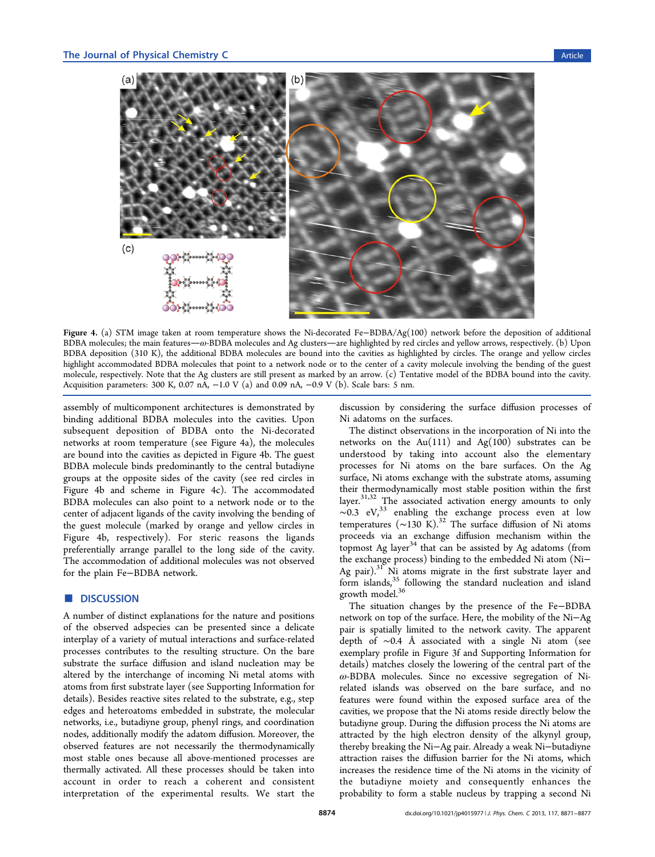<span id="page-3-0"></span>

Figure 4. (a) STM image taken at room temperature shows the Ni-decorated Fe−BDBA/Ag(100) network before the deposition of additional BDBA molecules; the main features— $\omega$ -BDBA molecules and Ag clusters—are highlighted by red circles and yellow arrows, respectively. (b) Upon BDBA deposition (310 K), the additional BDBA molecules are bound into the cavities as highlighted by circles. The orange and yellow circles highlight accommodated BDBA molecules that point to a network node or to the center of a cavity molecule involving the bending of the guest molecule, respectively. Note that the Ag clusters are still present as marked by an arrow. (c) Tentative model of the BDBA bound into the cavity. Acquisition parameters: 300 K, 0.07 nA,  $-1.0$  V (a) and 0.09 nA,  $-0.9$  V (b). Scale bars: 5 nm.

assembly of multicomponent architectures is demonstrated by binding additional BDBA molecules into the cavities. Upon subsequent deposition of BDBA onto the Ni-decorated networks at room temperature (see Figure 4a), the molecules are bound into the cavities as depicted in Figure 4b. The guest BDBA molecule binds predominantly to the central butadiyne groups at the opposite sides of the cavity (see red circles in Figure 4b and scheme in Figure 4c). The accommodated BDBA molecules can also point to a network node or to the center of adjacent ligands of the cavity involving the bending of the guest molecule (marked by orange and yellow circles in Figure 4b, respectively). For steric reasons the ligands preferentially arrange parallel to the long side of the cavity. The accommodation of additional molecules was not observed for the plain Fe−BDBA network.

#### ■ DISCUSSION

A number of distinct explanations for the nature and positions of the observed adspecies can be presented since a delicate interplay of a variety of mutual interactions and surface-related processes contributes to the resulting structure. On the bare substrate the surface diffusion and island nucleation may be altered by the interchange of incoming Ni metal atoms with atoms from first substrate layer (see [Supporting Information](#page-5-0) for details). Besides reactive sites related to the substrate, e.g., step edges and heteroatoms embedded in substrate, the molecular networks, i.e., butadiyne group, phenyl rings, and coordination nodes, additionally modify the adatom diffusion. Moreover, the observed features are not necessarily the thermodynamically most stable ones because all above-mentioned processes are thermally activated. All these processes should be taken into account in order to reach a coherent and consistent interpretation of the experimental results. We start the

discussion by considering the surface diffusion processes of Ni adatoms on the surfaces.

The distinct observations in the incorporation of Ni into the networks on the  $Au(111)$  and  $Ag(100)$  substrates can be understood by taking into account also the elementary processes for Ni atoms on the bare surfaces. On the Ag surface, Ni atoms exchange with the substrate atoms, assuming their thermodynamically most stable position within the first layer.<sup>[31](#page-6-0),[32](#page-6-0)</sup> The associated activation energy amounts to only  $\sim 0.3$  eV,<sup>[33](#page-6-0)</sup> enabling the exchange process even at low temperatures (~130 K).<sup>[32](#page-6-0)</sup> The surface diffusion of Ni atoms proceeds via an exchange diffusion mechanism within the topmost Ag layer<sup>[34](#page-6-0)</sup> that can be assisted by Ag adatoms (from the exchange process) binding to the embedded Ni atom (Ni− Ag pair).<sup>[31](#page-6-0)</sup> Ni atoms migrate in the first substrate layer and form islands,  $35$  following the standard nucleation and island growth model.<sup>[36](#page-6-0)</sup>

The situation changes by the presence of the Fe−BDBA network on top of the surface. Here, the mobility of the Ni−Ag pair is spatially limited to the network cavity. The apparent depth of ∼0.4 Å associated with a single Ni atom (see exemplary profile in Figure [3f](#page-2-0) and [Supporting Information](#page-5-0) for details) matches closely the lowering of the central part of the ω-BDBA molecules. Since no excessive segregation of Nirelated islands was observed on the bare surface, and no features were found within the exposed surface area of the cavities, we propose that the Ni atoms reside directly below the butadiyne group. During the diffusion process the Ni atoms are attracted by the high electron density of the alkynyl group, thereby breaking the Ni−Ag pair. Already a weak Ni−butadiyne attraction raises the diffusion barrier for the Ni atoms, which increases the residence time of the Ni atoms in the vicinity of the butadiyne moiety and consequently enhances the probability to form a stable nucleus by trapping a second Ni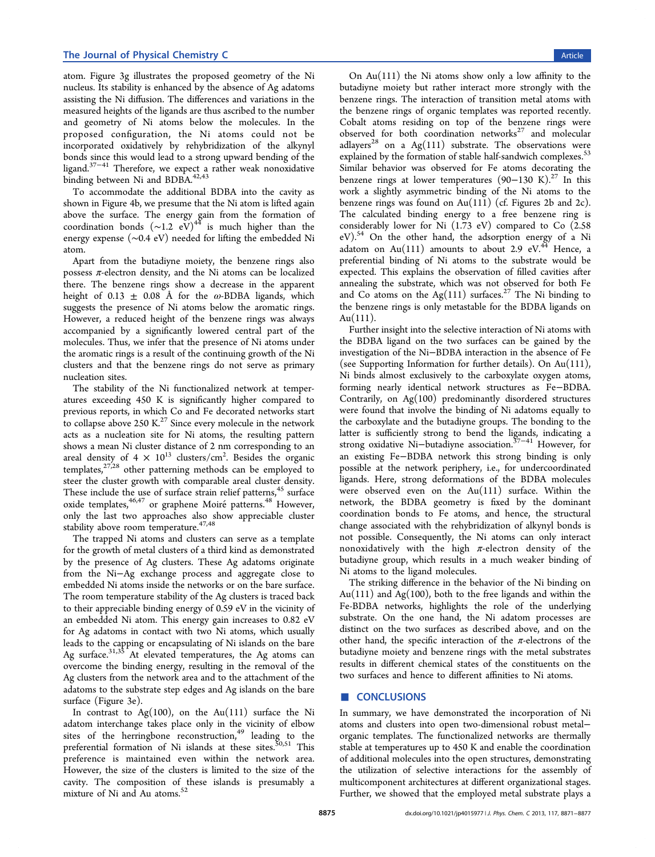#### The Journal of Physical Chemistry C and the Second Second Second Second Second Second Second Second Second Second Second Second Second Second Second Second Second Second Second Second Second Second Second Second Second Sec

atom. Figure [3g](#page-2-0) illustrates the proposed geometry of the Ni nucleus. Its stability is enhanced by the absence of Ag adatoms assisting the Ni diffusion. The differences and variations in the measured heights of the ligands are thus ascribed to the number and geometry of Ni atoms below the molecules. In the proposed configuration, the Ni atoms could not be incorporated oxidatively by rehybridization of the alkynyl bonds since this would lead to a strong upward bending of the ligand.[37](#page-6-0)−[41](#page-6-0) Therefore, we expect a rather weak nonoxidative binding between Ni and BDBA.<sup>[42](#page-6-0),[43](#page-6-0)</sup>

To accommodate the additional BDBA into the cavity as shown in Figure [4b](#page-3-0), we presume that the Ni atom is lifted again above the surface. The energy gain from the formation of coordination bonds  $({\sim}1.2 \text{ eV})^{44}$  $({\sim}1.2 \text{ eV})^{44}$  $({\sim}1.2 \text{ eV})^{44}$  is much higher than the energy expense (∼0.4 eV) needed for lifting the embedded Ni atom.

Apart from the butadiyne moiety, the benzene rings also possess  $\pi$ -electron density, and the Ni atoms can be localized there. The benzene rings show a decrease in the apparent height of 0.13  $\pm$  0.08 Å for the  $\omega$ -BDBA ligands, which suggests the presence of Ni atoms below the aromatic rings. However, a reduced height of the benzene rings was always accompanied by a significantly lowered central part of the molecules. Thus, we infer that the presence of Ni atoms under the aromatic rings is a result of the continuing growth of the Ni clusters and that the benzene rings do not serve as primary nucleation sites.

The stability of the Ni functionalized network at temperatures exceeding 450 K is significantly higher compared to previous reports, in which Co and Fe decorated networks start to collapse above 250  $K^{27}$  $K^{27}$  $K^{27}$  Since every molecule in the network acts as a nucleation site for Ni atoms, the resulting pattern shows a mean Ni cluster distance of 2 nm corresponding to an areal density of 4  $\times$   $10^{13}$  clusters/cm<sup>2</sup>. Besides the organic templates, $27,28$  $27,28$  other patterning methods can be employed to steer the cluster growth with comparable areal cluster density. These include the use of surface strain relief patterns,<sup>[45](#page-6-0)</sup> surface oxide templates,<sup>[46,47](#page-6-0)</sup> or graphene Moiré patterns.<sup>[48](#page-6-0)</sup> However, only the last two approaches also show appreciable cluster stability above room temperature.<sup>[47](#page-6-0),[48](#page-6-0)</sup>

The trapped Ni atoms and clusters can serve as a template for the growth of metal clusters of a third kind as demonstrated by the presence of Ag clusters. These Ag adatoms originate from the Ni−Ag exchange process and aggregate close to embedded Ni atoms inside the networks or on the bare surface. The room temperature stability of the Ag clusters is traced back to their appreciable binding energy of 0.59 eV in the vicinity of an embedded Ni atom. This energy gain increases to 0.82 eV for Ag adatoms in contact with two Ni atoms, which usually leads to the capping or encapsulating of Ni islands on the bare Ag surface.<sup>[31,35](#page-6-0)</sup> At elevated temperatures, the Ag atoms can overcome the binding energy, resulting in the removal of the Ag clusters from the network area and to the attachment of the adatoms to the substrate step edges and Ag islands on the bare surface (Figure [3](#page-2-0)e).

In contrast to  $Ag(100)$ , on the Au(111) surface the Ni adatom interchange takes place only in the vicinity of elbow sites of the herringbone reconstruction,<sup>[49](#page-6-0)</sup> leading to the preferential formation of Ni islands at these sites.  ${}^{50,51}$  ${}^{50,51}$  ${}^{50,51}$  This preference is maintained even within the network area. However, the size of the clusters is limited to the size of the cavity. The composition of these islands is presumably a mixture of Ni and Au atoms.[52](#page-6-0)

On  $Au(111)$  the Ni atoms show only a low affinity to the butadiyne moiety but rather interact more strongly with the benzene rings. The interaction of transition metal atoms with the benzene rings of organic templates was reported recently. Cobalt atoms residing on top of the benzene rings were observed for both coordination networks $27$  and molecular adlayers<sup>[28](#page-6-0)</sup> on a Ag(111) substrate. The observations were explained by the formation of stable half-sandwich complexes.<sup>[53](#page-6-0)</sup> Similar behavior was observed for Fe atoms decorating the benzene rings at lower temperatures  $(90-130 \text{ K})$ .<sup>[27](#page-5-0)</sup> In this work a slightly asymmetric binding of the Ni atoms to the benzene rings was found on Au(111) (cf. Figures [2](#page-1-0)b and [2c](#page-1-0)). The calculated binding energy to a free benzene ring is considerably lower for Ni (1.73 eV) compared to Co (2.58 eV).<sup>[54](#page-6-0)</sup> On the other hand, the adsorption energy of a Ni adatom on Au $(111)$  amounts to about 2.9 eV.<sup>[44](#page-6-0)</sup> Hence, a preferential binding of Ni atoms to the substrate would be expected. This explains the observation of filled cavities after annealing the substrate, which was not observed for both Fe and Co atoms on the Ag(111) surfaces.<sup>[27](#page-5-0)</sup> The Ni binding to the benzene rings is only metastable for the BDBA ligands on Au(111).

Further insight into the selective interaction of Ni atoms with the BDBA ligand on the two surfaces can be gained by the investigation of the Ni−BDBA interaction in the absence of Fe (see [Supporting Information](#page-5-0) for further details). On Au(111), Ni binds almost exclusively to the carboxylate oxygen atoms, forming nearly identical network structures as Fe−BDBA. Contrarily, on Ag(100) predominantly disordered structures were found that involve the binding of Ni adatoms equally to the carboxylate and the butadiyne groups. The bonding to the latter is sufficiently strong to bend the ligands, indicating a strong oxidative Ni−butadiyne association.[37](#page-6-0)−[41](#page-6-0) However, for an existing Fe−BDBA network this strong binding is only possible at the network periphery, i.e., for undercoordinated ligands. Here, strong deformations of the BDBA molecules were observed even on the  $Au(111)$  surface. Within the network, the BDBA geometry is fixed by the dominant coordination bonds to Fe atoms, and hence, the structural change associated with the rehybridization of alkynyl bonds is not possible. Consequently, the Ni atoms can only interact nonoxidatively with the high  $\pi$ -electron density of the butadiyne group, which results in a much weaker binding of Ni atoms to the ligand molecules.

The striking difference in the behavior of the Ni binding on Au(111) and Ag(100), both to the free ligands and within the Fe-BDBA networks, highlights the role of the underlying substrate. On the one hand, the Ni adatom processes are distinct on the two surfaces as described above, and on the other hand, the specific interaction of the  $\pi$ -electrons of the butadiyne moiety and benzene rings with the metal substrates results in different chemical states of the constituents on the two surfaces and hence to different affinities to Ni atoms.

#### ■ CONCLUSIONS

In summary, we have demonstrated the incorporation of Ni atoms and clusters into open two-dimensional robust metal− organic templates. The functionalized networks are thermally stable at temperatures up to 450 K and enable the coordination of additional molecules into the open structures, demonstrating the utilization of selective interactions for the assembly of multicomponent architectures at different organizational stages. Further, we showed that the employed metal substrate plays a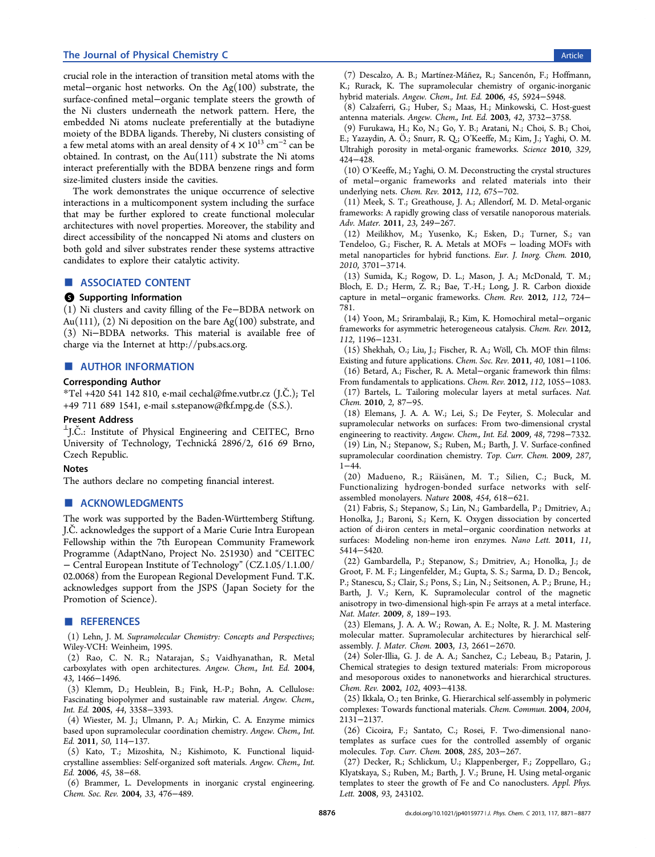#### <span id="page-5-0"></span>The Journal of Physical Chemistry C and the Second Second Second Second Second Second Second Second Second Second Second Second Second Second Second Second Second Second Second Second Second Second Second Second Second Sec

crucial role in the interaction of transition metal atoms with the metal−organic host networks. On the Ag(100) substrate, the surface-confined metal−organic template steers the growth of the Ni clusters underneath the network pattern. Here, the embedded Ni atoms nucleate preferentially at the butadiyne moiety of the BDBA ligands. Thereby, Ni clusters consisting of a few metal atoms with an areal density of  $4 \times 10^{13}$  cm<sup>-2</sup> can be obtained. In contrast, on the Au(111) substrate the Ni atoms interact preferentially with the BDBA benzene rings and form size-limited clusters inside the cavities.

The work demonstrates the unique occurrence of selective interactions in a multicomponent system including the surface that may be further explored to create functional molecular architectures with novel properties. Moreover, the stability and direct accessibility of the noncapped Ni atoms and clusters on both gold and silver substrates render these systems attractive candidates to explore their catalytic activity.

## ■ ASSOCIATED CONTENT

#### **6** Supporting Information

(1) Ni clusters and cavity filling of the Fe−BDBA network on Au(111), (2) Ni deposition on the bare Ag(100) substrate, and (3) Ni−BDBA networks. This material is available free of charge via the Internet at<http://pubs.acs.org>.

#### ■ AUTHOR INFORMATION

#### Corresponding Author

\*Tel +420 541 142 810, e-mail [cechal@fme.vutbr.cz](mailto:cechal@fme.vutbr.cz) (J.Č.); Tel +49 711 689 1541, e-mail [s.stepanow@fkf.mpg.de](mailto:s.stepanow@fkf.mpg.de) (S.S.).

#### Present Address

 $\perp$ I.C<sup> $\perp$ </sup>.: Institute of Physical Engineering and CEITEC, Brno University of Technology, Technická 2896/2, 616 69 Brno, Czech Republic.

### Notes

The authors declare no competing financial interest.

#### ■ ACKNOWLEDGMENTS

The work was supported by the Baden-Wü rttemberg Stiftung. J.Č. acknowledges the support of a Marie Curie Intra European Fellowship within the 7th European Community Framework Programme (AdaptNano, Project No. 251930) and "CEITEC − Central European Institute of Technology" (CZ.1.05/1.1.00/ 02.0068) from the European Regional Development Fund. T.K. acknowledges support from the JSPS (Japan Society for the Promotion of Science).

#### ■ REFERENCES

(1) Lehn, J. M. Supramolecular Chemistry: Concepts and Perspectives; Wiley-VCH: Weinheim, 1995.

(2) Rao, C. N. R.; Natarajan, S.; Vaidhyanathan, R. Metal carboxylates with open architectures. Angew. Chem., Int. Ed. 2004, 43, 1466−1496.

(3) Klemm, D.; Heublein, B.; Fink, H.-P.; Bohn, A. Cellulose: Fascinating biopolymer and sustainable raw material. Angew. Chem., Int. Ed. 2005, 44, 3358−3393.

(4) Wiester, M. J.; Ulmann, P. A.; Mirkin, C. A. Enzyme mimics based upon supramolecular coordination chemistry. Angew. Chem., Int. Ed. 2011, 50, 114−137.

(5) Kato, T.; Mizoshita, N.; Kishimoto, K. Functional liquidcrystalline assemblies: Self-organized soft materials. Angew. Chem., Int. Ed. 2006, 45, 38−68.

(6) Brammer, L. Developments in inorganic crystal engineering. Chem. Soc. Rev. 2004, 33, 476−489.

(7) Descalzo, A. B.; Martínez-Máñez, R.; Sancenón, F.; Hoffmann, K.; Rurack, K. The supramolecular chemistry of organic-inorganic hybrid materials. Angew. Chem., Int. Ed. 2006, 45, 5924−5948.

(8) Calzaferri, G.; Huber, S.; Maas, H.; Minkowski, C. Host-guest antenna materials. Angew. Chem., Int. Ed. 2003, 42, 3732−3758.

(9) Furukawa, H.; Ko, N.; Go, Y. B.; Aratani, N.; Choi, S. B.; Choi, E.; Yazaydin, A. Ö.; Snurr, R. Q.; O'Keeffe, M.; Kim, J.; Yaghi, O. M. Ultrahigh porosity in metal-organic frameworks. Science 2010, 329, 424−428.

(10) O′Keeffe, M.; Yaghi, O. M. Deconstructing the crystal structures of metal−organic frameworks and related materials into their underlying nets. Chem. Rev. 2012, 112, 675−702.

(11) Meek, S. T.; Greathouse, J. A.; Allendorf, M. D. Metal-organic frameworks: A rapidly growing class of versatile nanoporous materials. Adv. Mater. 2011, 23, 249−267.

(12) Meilikhov, M.; Yusenko, K.; Esken, D.; Turner, S.; van Tendeloo, G.; Fischer, R. A. Metals at MOFs − loading MOFs with metal nanoparticles for hybrid functions. Eur. J. Inorg. Chem. 2010, 2010, 3701−3714.

(13) Sumida, K.; Rogow, D. L.; Mason, J. A.; McDonald, T. M.; Bloch, E. D.; Herm, Z. R.; Bae, T.-H.; Long, J. R. Carbon dioxide capture in metal−organic frameworks. Chem. Rev. 2012, 112, 724− 781.

(14) Yoon, M.; Srirambalaji, R.; Kim, K. Homochiral metal−organic frameworks for asymmetric heterogeneous catalysis. Chem. Rev. 2012, 112, 1196−1231.

(15) Shekhah, O.; Liu, J.; Fischer, R. A.; Wöll, Ch. MOF thin films: Existing and future applications. Chem. Soc. Rev. 2011, 40, 1081−1106. (16) Betard, A.; Fischer, R. A. Metal−organic framework thin films:

From fundamentals to applications. Chem. Rev. 2012, 112, 1055−1083. (17) Bartels, L. Tailoring molecular layers at metal surfaces. Nat. Chem. 2010, 2, 87−95.

(18) Elemans, J. A. A. W.; Lei, S.; De Feyter, S. Molecular and supramolecular networks on surfaces: From two-dimensional crystal engineering to reactivity. Angew. Chem., Int. Ed. 2009, 48, 7298−7332.

(19) Lin, N.; Stepanow, S.; Ruben, M.; Barth, J. V. Surface-confined supramolecular coordination chemistry. Top. Curr. Chem. 2009, 287, 1−44.

(20) Madueno, R.; Räisä nen, M. T.; Silien, C.; Buck, M. Functionalizing hydrogen-bonded surface networks with selfassembled monolayers. Nature 2008, 454, 618−621.

(21) Fabris, S.; Stepanow, S.; Lin, N.; Gambardella, P.; Dmitriev, A.; Honolka, J.; Baroni, S.; Kern, K. Oxygen dissociation by concerted action of di-iron centers in metal−organic coordination networks at surfaces: Modeling non-heme iron enzymes. Nano Lett. 2011, 11, 5414−5420.

(22) Gambardella, P.; Stepanow, S.; Dmitriev, A.; Honolka, J.; de Groot, F. M. F.; Lingenfelder, M.; Gupta, S. S.; Sarma, D. D.; Bencok, P.; Stanescu, S.; Clair, S.; Pons, S.; Lin, N.; Seitsonen, A. P.; Brune, H.; Barth, J. V.; Kern, K. Supramolecular control of the magnetic anisotropy in two-dimensional high-spin Fe arrays at a metal interface. Nat. Mater. 2009, 8, 189−193.

(23) Elemans, J. A. A. W.; Rowan, A. E.; Nolte, R. J. M. Mastering molecular matter. Supramolecular architectures by hierarchical selfassembly. J. Mater. Chem. 2003, 13, 2661−2670.

(24) Soler-Illia, G. J. de A. A.; Sanchez, C.; Lebeau, B.; Patarin, J. Chemical strategies to design textured materials: From microporous and mesoporous oxides to nanonetworks and hierarchical structures. Chem. Rev. 2002, 102, 4093−4138.

(25) Ikkala, O.; ten Brinke, G. Hierarchical self-assembly in polymeric complexes: Towards functional materials. Chem. Commun. 2004, 2004, 2131−2137.

(26) Cicoira, F.; Santato, C.; Rosei, F. Two-dimensional nanotemplates as surface cues for the controlled assembly of organic molecules. Top. Curr. Chem. 2008, 285, 203−267.

(27) Decker, R.; Schlickum, U.; Klappenberger, F.; Zoppellaro, G.; Klyatskaya, S.; Ruben, M.; Barth, J. V.; Brune, H. Using metal-organic templates to steer the growth of Fe and Co nanoclusters. Appl. Phys. Lett. 2008, 93, 243102.